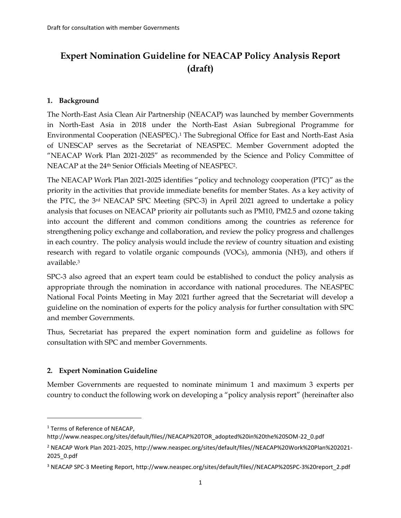# **Expert Nomination Guideline for NEACAP Policy Analysis Report (draft)**

#### **1. Background**

The North-East Asia Clean Air Partnership (NEACAP) was launched by member Governments in North-East Asia in 2018 under the North-East Asian Subregional Programme for Environmental Cooperation (NEASPEC). <sup>1</sup> The Subregional Office for East and North-East Asia of UNESCAP serves as the Secretariat of NEASPEC. Member Government adopted the "NEACAP Work Plan 2021-2025" as recommended by the Science and Policy Committee of NEACAP at the 24th Senior Officials Meeting of NEASPEC2.

The NEACAP Work Plan 2021-2025 identifies "policy and technology cooperation (PTC)" as the priority in the activities that provide immediate benefits for member States. As a key activity of the PTC, the 3rd NEACAP SPC Meeting (SPC-3) in April 2021 agreed to undertake a policy analysis that focuses on NEACAP priority air pollutants such as PM10, PM2.5 and ozone taking into account the different and common conditions among the countries as reference for strengthening policy exchange and collaboration, and review the policy progress and challenges in each country. The policy analysis would include the review of country situation and existing research with regard to volatile organic compounds (VOCs), ammonia (NH3), and others if available.<sup>3</sup>

SPC-3 also agreed that an expert team could be established to conduct the policy analysis as appropriate through the nomination in accordance with national procedures. The NEASPEC National Focal Points Meeting in May 2021 further agreed that the Secretariat will develop a guideline on the nomination of experts for the policy analysis for further consultation with SPC and member Governments.

Thus, Secretariat has prepared the expert nomination form and guideline as follows for consultation with SPC and member Governments.

### **2. Expert Nomination Guideline**

Member Governments are requested to nominate minimum 1 and maximum 3 experts per country to conduct the following work on developing a "policy analysis report" (hereinafter also

<sup>1</sup> Terms of Reference of NEACAP,

http://www.neaspec.org/sites/default/files//NEACAP%20TOR\_adopted%20in%20the%20SOM-22\_0.pdf

<sup>2</sup> NEACAP Work Plan 2021-2025, http://www.neaspec.org/sites/default/files//NEACAP%20Work%20Plan%202021- 2025\_0.pdf

<sup>3</sup> NEACAP SPC-3 Meeting Report, http://www.neaspec.org/sites/default/files//NEACAP%20SPC-3%20report\_2.pdf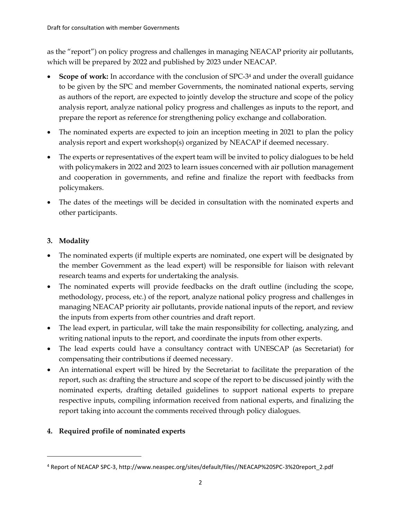as the "report") on policy progress and challenges in managing NEACAP priority air pollutants, which will be prepared by 2022 and published by 2023 under NEACAP.

- **Scope of work:** In accordance with the conclusion of SPC-34 and under the overall guidance to be given by the SPC and member Governments, the nominated national experts, serving as authors of the report, are expected to jointly develop the structure and scope of the policy analysis report, analyze national policy progress and challenges as inputs to the report, and prepare the report as reference for strengthening policy exchange and collaboration.
- The nominated experts are expected to join an inception meeting in 2021 to plan the policy analysis report and expert workshop(s) organized by NEACAP if deemed necessary.
- The experts or representatives of the expert team will be invited to policy dialogues to be held with policymakers in 2022 and 2023 to learn issues concerned with air pollution management and cooperation in governments, and refine and finalize the report with feedbacks from policymakers.
- The dates of the meetings will be decided in consultation with the nominated experts and other participants.

## **3. Modality**

- The nominated experts (if multiple experts are nominated, one expert will be designated by the member Government as the lead expert) will be responsible for liaison with relevant research teams and experts for undertaking the analysis.
- The nominated experts will provide feedbacks on the draft outline (including the scope, methodology, process, etc.) of the report, analyze national policy progress and challenges in managing NEACAP priority air pollutants, provide national inputs of the report, and review the inputs from experts from other countries and draft report.
- The lead expert, in particular, will take the main responsibility for collecting, analyzing, and writing national inputs to the report, and coordinate the inputs from other experts.
- The lead experts could have a consultancy contract with UNESCAP (as Secretariat) for compensating their contributions if deemed necessary.
- An international expert will be hired by the Secretariat to facilitate the preparation of the report, such as: drafting the structure and scope of the report to be discussed jointly with the nominated experts, drafting detailed guidelines to support national experts to prepare respective inputs, compiling information received from national experts, and finalizing the report taking into account the comments received through policy dialogues.

### **4. Required profile of nominated experts**

<sup>4</sup> Report of NEACAP SPC-3, http://www.neaspec.org/sites/default/files//NEACAP%20SPC-3%20report\_2.pdf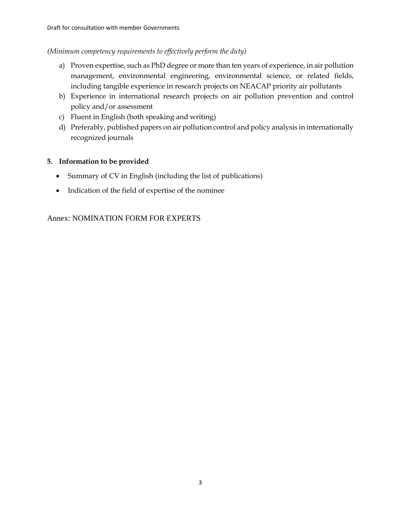#### *(Minimum competency requirements to effectively perform the duty)*

- a) Proven expertise, such as PhD degree or more than ten years of experience, in air pollution management, environmental engineering, environmental science, or related fields, including tangible experience in research projects on NEACAP priority air pollutants
- b) Experience in international research projects on air pollution prevention and control policy and/or assessment
- c) Fluent in English (both speaking and writing)
- d) Preferably, published papers on air pollution control and policy analysis in internationally recognized journals

### **5. Information to be provided**

- Summary of CV in English (including the list of publications)
- Indication of the field of expertise of the nominee

### Annex: NOMINATION FORM FOR EXPERTS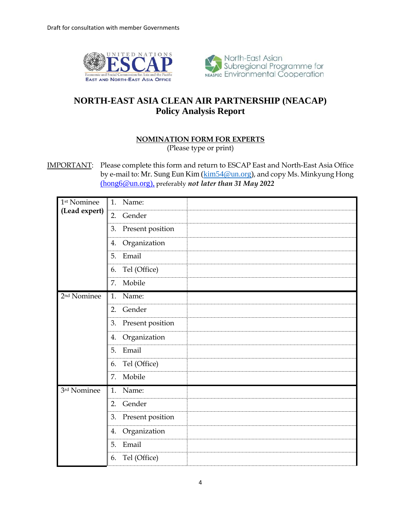



## **NORTH-EAST ASIA CLEAN AIR PARTNERSHIP (NEACAP) Policy Analysis Report**

#### **NOMINATION FORM FOR EXPERTS**

(Please type or print)

IMPORTANT: Please complete this form and return to ESCAP East and North-East Asia Office by e-mail to: Mr. Sung Eun Kim [\(kim54@un.org\)](mailto:kim54@un.org), and copy Ms. Minkyung Hong [\(hong6@un.org\)](mailto:hong6@un.org), preferably *not later than 31 May 2022*

| 1 <sup>st</sup> Nominee | 1.<br>Name:            |
|-------------------------|------------------------|
| (Lead expert)           | 2.<br>Gender           |
|                         | 3.<br>Present position |
|                         | Organization<br>4.     |
|                         | 5.<br>Email            |
|                         | Tel (Office)<br>6.     |
|                         | Mobile<br>7.           |
| 2 <sup>nd</sup> Nominee | Name:<br>1.            |
|                         | Gender<br>2.           |
|                         | Present position<br>3. |
|                         | Organization<br>4.     |
|                         | 5.<br>Email            |
|                         | Tel (Office)<br>6.     |
|                         | Mobile<br>7.           |
| 3rd Nominee             | Name:<br>1.            |
|                         | Gender<br>2.           |
|                         | Present position<br>3. |
|                         | Organization<br>4.     |
|                         | 5.<br>Email            |
|                         | Tel (Office)<br>6.     |